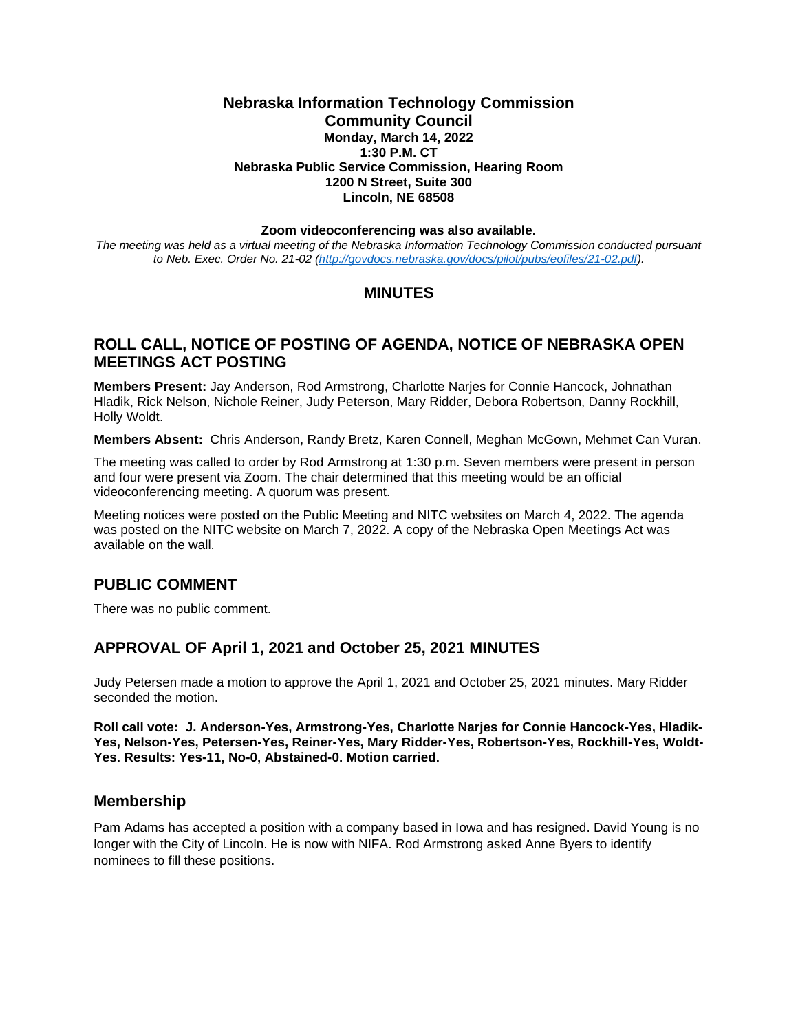#### **Nebraska Information Technology Commission Community Council Monday, March 14, 2022 1:30 P.M. CT Nebraska Public Service Commission, Hearing Room 1200 N Street, Suite 300 Lincoln, NE 68508**

#### **Zoom videoconferencing was also available.**

*The meeting was held as a virtual meeting of the Nebraska Information Technology Commission conducted pursuant to Neb. Exec. Order No. 21-02 [\(http://govdocs.nebraska.gov/docs/pilot/pubs/eofiles/21-02.pdf\)](http://govdocs.nebraska.gov/docs/pilot/pubs/eofiles/21-02.pdf).*

## **MINUTES**

## **ROLL CALL, NOTICE OF POSTING OF AGENDA, NOTICE OF NEBRASKA OPEN MEETINGS ACT POSTING**

**Members Present:** Jay Anderson, Rod Armstrong, Charlotte Narjes for Connie Hancock, Johnathan Hladik, Rick Nelson, Nichole Reiner, Judy Peterson, Mary Ridder, Debora Robertson, Danny Rockhill, Holly Woldt.

**Members Absent:** Chris Anderson, Randy Bretz, Karen Connell, Meghan McGown, Mehmet Can Vuran.

The meeting was called to order by Rod Armstrong at 1:30 p.m. Seven members were present in person and four were present via Zoom. The chair determined that this meeting would be an official videoconferencing meeting. A quorum was present.

Meeting notices were posted on the Public Meeting and NITC websites on March 4, 2022. The agenda was posted on the NITC website on March 7, 2022. A copy of the Nebraska Open Meetings Act was available on the wall.

### **PUBLIC COMMENT**

There was no public comment.

### **APPROVAL OF April 1, 2021 and October 25, 2021 MINUTES**

Judy Petersen made a motion to approve the April 1, 2021 and October 25, 2021 minutes. Mary Ridder seconded the motion.

**Roll call vote: J. Anderson-Yes, Armstrong-Yes, Charlotte Narjes for Connie Hancock-Yes, Hladik-Yes, Nelson-Yes, Petersen-Yes, Reiner-Yes, Mary Ridder-Yes, Robertson-Yes, Rockhill-Yes, Woldt-Yes. Results: Yes-11, No-0, Abstained-0. Motion carried.**

#### **Membership**

Pam Adams has accepted a position with a company based in Iowa and has resigned. David Young is no longer with the City of Lincoln. He is now with NIFA. Rod Armstrong asked Anne Byers to identify nominees to fill these positions.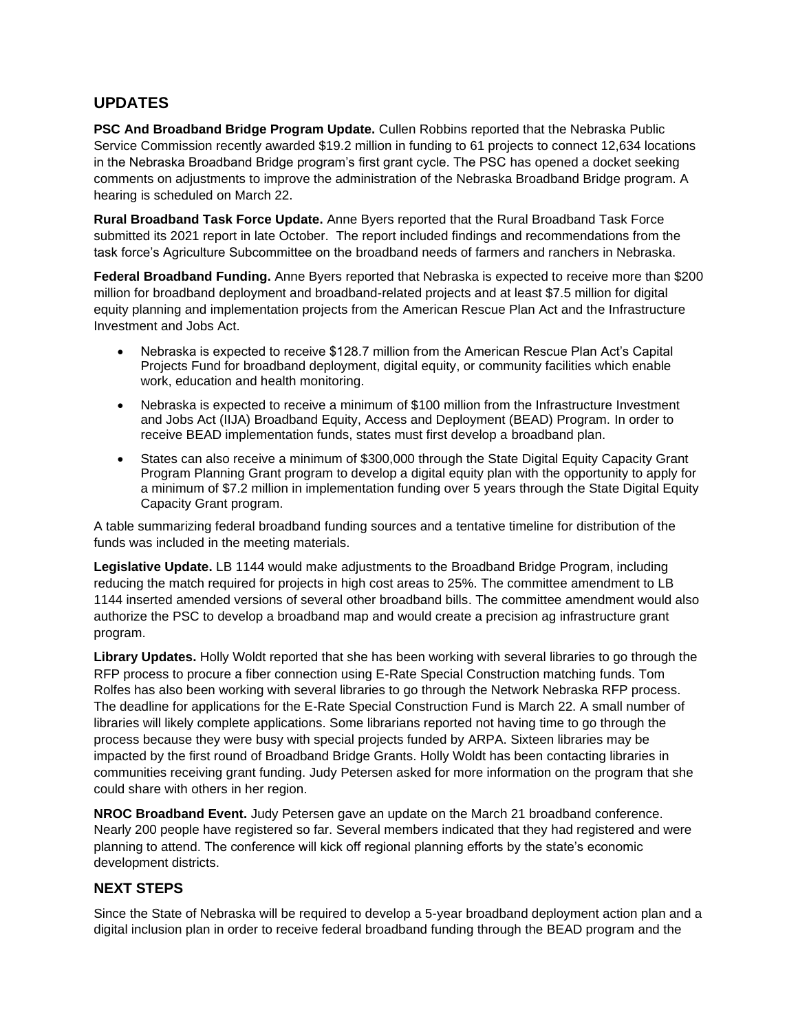# **UPDATES**

**PSC And Broadband Bridge Program Update.** Cullen Robbins reported that the Nebraska Public Service Commission recently awarded \$19.2 million in funding to 61 projects to connect 12,634 locations in the Nebraska Broadband Bridge program's first grant cycle. The PSC has opened a docket seeking comments on adjustments to improve the administration of the Nebraska Broadband Bridge program. A hearing is scheduled on March 22.

**Rural Broadband Task Force Update.** Anne Byers reported that the Rural Broadband Task Force submitted its 2021 report in late October. The report included findings and recommendations from the task force's Agriculture Subcommittee on the broadband needs of farmers and ranchers in Nebraska.

**Federal Broadband Funding.** Anne Byers reported that Nebraska is expected to receive more than \$200 million for broadband deployment and broadband-related projects and at least \$7.5 million for digital equity planning and implementation projects from the American Rescue Plan Act and the Infrastructure Investment and Jobs Act.

- Nebraska is expected to receive \$128.7 million from the American Rescue Plan Act's Capital Projects Fund for broadband deployment, digital equity, or community facilities which enable work, education and health monitoring.
- Nebraska is expected to receive a minimum of \$100 million from the Infrastructure Investment and Jobs Act (IIJA) Broadband Equity, Access and Deployment (BEAD) Program. In order to receive BEAD implementation funds, states must first develop a broadband plan.
- States can also receive a minimum of \$300,000 through the State Digital Equity Capacity Grant Program Planning Grant program to develop a digital equity plan with the opportunity to apply for a minimum of \$7.2 million in implementation funding over 5 years through the State Digital Equity Capacity Grant program.

A table summarizing federal broadband funding sources and a tentative timeline for distribution of the funds was included in the meeting materials.

**Legislative Update.** LB 1144 would make adjustments to the Broadband Bridge Program, including reducing the match required for projects in high cost areas to 25%. The committee amendment to LB 1144 inserted amended versions of several other broadband bills. The committee amendment would also authorize the PSC to develop a broadband map and would create a precision ag infrastructure grant program.

**Library Updates.** Holly Woldt reported that she has been working with several libraries to go through the RFP process to procure a fiber connection using E-Rate Special Construction matching funds. Tom Rolfes has also been working with several libraries to go through the Network Nebraska RFP process. The deadline for applications for the E-Rate Special Construction Fund is March 22. A small number of libraries will likely complete applications. Some librarians reported not having time to go through the process because they were busy with special projects funded by ARPA. Sixteen libraries may be impacted by the first round of Broadband Bridge Grants. Holly Woldt has been contacting libraries in communities receiving grant funding. Judy Petersen asked for more information on the program that she could share with others in her region.

**NROC Broadband Event.** Judy Petersen gave an update on the March 21 broadband conference. Nearly 200 people have registered so far. Several members indicated that they had registered and were planning to attend. The conference will kick off regional planning efforts by the state's economic development districts.

# **NEXT STEPS**

Since the State of Nebraska will be required to develop a 5-year broadband deployment action plan and a digital inclusion plan in order to receive federal broadband funding through the BEAD program and the